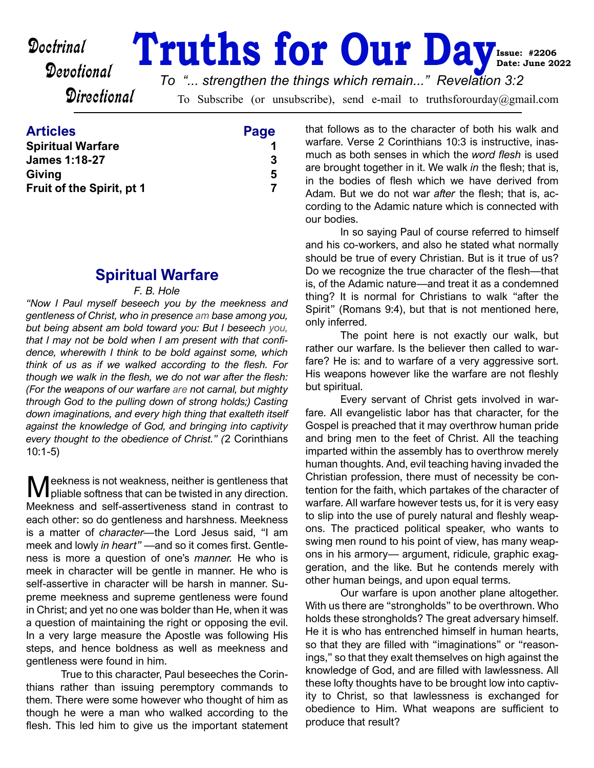Doctrinal

# **Cancel Truths for Our Day Issue: #2206 Date: June 2022**

*To "... strengthen the things which remain..." Revelation 3:2*

**Directional** 

To Subscribe (or unsubscribe), send e-mail to truthsforourday@gmail.com

| Page |
|------|
|      |
| 3    |
| 5    |
|      |
|      |

# **Spiritual Warfare**

# *F. B. Hole*

*"Now I Paul myself beseech you by the meekness and gentleness of Christ, who in presence am base among you, but being absent am bold toward you: But I beseech you, that I may not be bold when I am present with that confidence, wherewith I think to be bold against some, which think of us as if we walked according to the flesh. For though we walk in the flesh, we do not war after the flesh: (For the weapons of our warfare are not carnal, but mighty through God to the pulling down of strong holds;) Casting down imaginations, and every high thing that exalteth itself against the knowledge of God, and bringing into captivity every thought to the obedience of Christ." (*2 Corinthians 10:1-5)

Meekness is not weakness, neither is gentleness that pliable softness that can be twisted in any direction. pliable softness that can be twisted in any direction. Meekness and self-assertiveness stand in contrast to each other: so do gentleness and harshness. Meekness is a matter of *character—*the Lord Jesus said, "I am meek and lowly *in heart"* —and so it comes first. Gentleness is more a question of one's *manner.* He who is meek in character will be gentle in manner. He who is self-assertive in character will be harsh in manner. Supreme meekness and supreme gentleness were found in Christ; and yet no one was bolder than He, when it was a question of maintaining the right or opposing the evil. In a very large measure the Apostle was following His steps, and hence boldness as well as meekness and gentleness were found in him.

 True to this character, Paul beseeches the Corinthians rather than issuing peremptory commands to them. There were some however who thought of him as though he were a man who walked according to the flesh. This led him to give us the important statement that follows as to the character of both his walk and warfare. Verse 2 Corinthians 10:3 is instructive, inasmuch as both senses in which the *word flesh* is used are brought together in it. We walk *in* the flesh; that is, in the bodies of flesh which we have derived from Adam. But we do not war *after* the flesh; that is, according to the Adamic nature which is connected with our bodies.

 In so saying Paul of course referred to himself and his co-workers, and also he stated what normally should be true of every Christian. But is it true of us? Do we recognize the true character of the flesh—that is, of the Adamic nature—and treat it as a condemned thing? It is normal for Christians to walk "after the Spirit" (Romans 9:4), but that is not mentioned here, only inferred.

 The point here is not exactly our walk, but rather our warfare. Is the believer then called to warfare? He is: and to warfare of a very aggressive sort. His weapons however like the warfare are not fleshly but spiritual.

 Every servant of Christ gets involved in warfare. All evangelistic labor has that character, for the Gospel is preached that it may overthrow human pride and bring men to the feet of Christ. All the teaching imparted within the assembly has to overthrow merely human thoughts. And, evil teaching having invaded the Christian profession, there must of necessity be contention for the faith, which partakes of the character of warfare. All warfare however tests us, for it is very easy to slip into the use of purely natural and fleshly weapons. The practiced political speaker, who wants to swing men round to his point of view, has many weapons in his armory— argument, ridicule, graphic exaggeration, and the like. But he contends merely with other human beings, and upon equal terms.

 Our warfare is upon another plane altogether. With us there are "strongholds" to be overthrown. Who holds these strongholds? The great adversary himself. He it is who has entrenched himself in human hearts, so that they are filled with "imaginations" or "reasonings," so that they exalt themselves on high against the knowledge of God, and are filled with lawlessness. All these lofty thoughts have to be brought low into captivity to Christ, so that lawlessness is exchanged for obedience to Him. What weapons are sufficient to produce that result?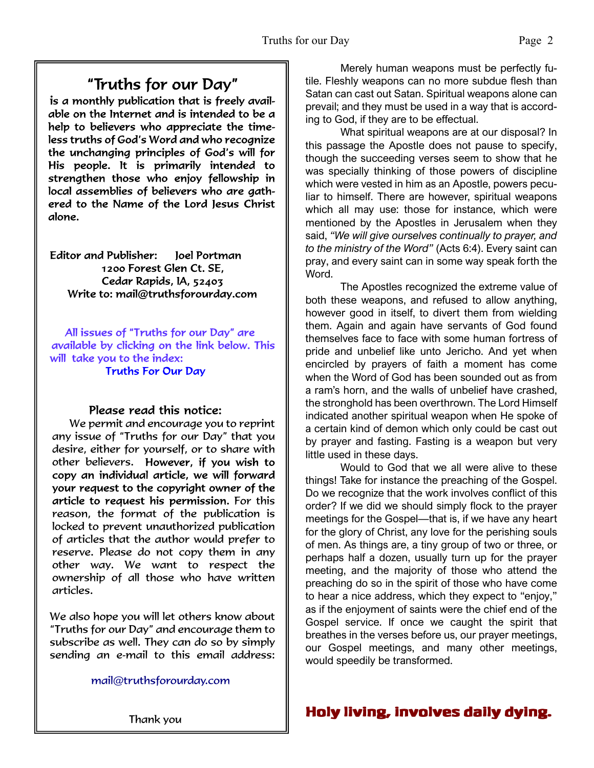# "Truths for our Day"

is a monthly publication that is freely available on the Internet and is intended to be a help to believers who appreciate the timeless truths of God's Word and who recognize the unchanging principles of God's will for His people. It is primarily intended to strengthen those who enjoy fellowship in local assemblies of believers who are gathered to the Name of the Lord Jesus Christ alone.

Editor and Publisher: loel Portman 1200 Forest Glen Ct. SE, Cedar Rapids, IA, 52403 Write to: mail@truthsforourday.com

All issues of "Truths for our Day" are available by clicking on the link below. This will take you to the index: **Truths For Our Day** 

# Please read this notice:

We permit and encourage you to reprint any issue of "Truths for our Day" that you desire, either for yourself, or to share with other believers. However, if you wish to<br>copy an individual article, we will forward your request to the copyright owner of the article to request his permission. For this reason, the format of the publication is locked to prevent unauthorized publication of articles that the author would prefer to reserve. Please do not copy them in any other way. We want to respect the ownership of all those who have written articles.

 We also hope you will let others know about "Truths for our Day" and encourage them to subscribe as well. They can do so by simply sending an e-mail to this email address:

mail@truthsforourday.com

 Merely human weapons must be perfectly futile. Fleshly weapons can no more subdue flesh than Satan can cast out Satan. Spiritual weapons alone can prevail; and they must be used in a way that is according to God, if they are to be effectual.

 What spiritual weapons are at our disposal? In this passage the Apostle does not pause to specify, though the succeeding verses seem to show that he was specially thinking of those powers of discipline which were vested in him as an Apostle, powers peculiar to himself. There are however, spiritual weapons which all may use: those for instance, which were mentioned by the Apostles in Jerusalem when they said, *"We will give ourselves continually to prayer, and to the ministry of the Word"* (Acts 6:4). Every saint can pray, and every saint can in some way speak forth the Word.

 The Apostles recognized the extreme value of both these weapons, and refused to allow anything, however good in itself, to divert them from wielding them. Again and again have servants of God found themselves face to face with some human fortress of pride and unbelief like unto Jericho. And yet when encircled by prayers of faith a moment has come when the Word of God has been sounded out as from a ram's horn, and the walls of unbelief have crashed, the stronghold has been overthrown. The Lord Himself indicated another spiritual weapon when He spoke of a certain kind of demon which only could be cast out by prayer and fasting. Fasting is a weapon but very little used in these days.

 Would to God that we all were alive to these things! Take for instance the preaching of the Gospel. Do we recognize that the work involves conflict of this order? If we did we should simply flock to the prayer meetings for the Gospel—that is, if we have any heart for the glory of Christ, any love for the perishing souls of men. As things are, a tiny group of two or three, or perhaps half a dozen, usually turn up for the prayer meeting, and the majority of those who attend the preaching do so in the spirit of those who have come to hear a nice address, which they expect to "enjoy," as if the enjoyment of saints were the chief end of the Gospel service. If once we caught the spirit that breathes in the verses before us, our prayer meetings, our Gospel meetings, and many other meetings, would speedily be transformed.

# Thank you  $\parallel$  Holy living, involves daily dying.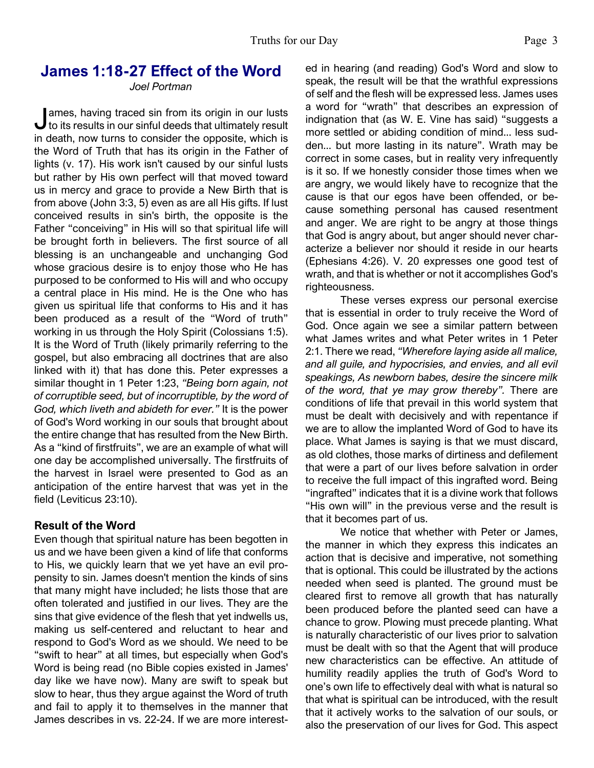# **James 1:18-27 Effect of the Word**

#### *Joel Portman*

dames, having traced sin from its origin in our lusts<br>to its results in our sinful deeds that ultimately result ames, having traced sin from its origin in our lusts in death, now turns to consider the opposite, which is the Word of Truth that has its origin in the Father of lights (v. 17). His work isn't caused by our sinful lusts but rather by His own perfect will that moved toward us in mercy and grace to provide a New Birth that is from above (John 3:3, 5) even as are all His gifts. If lust conceived results in sin's birth, the opposite is the Father "conceiving" in His will so that spiritual life will be brought forth in believers. The first source of all blessing is an unchangeable and unchanging God whose gracious desire is to enjoy those who He has purposed to be conformed to His will and who occupy a central place in His mind. He is the One who has given us spiritual life that conforms to His and it has been produced as a result of the "Word of truth" working in us through the Holy Spirit (Colossians 1:5). It is the Word of Truth (likely primarily referring to the gospel, but also embracing all doctrines that are also linked with it) that has done this. Peter expresses a similar thought in 1 Peter 1:23, *"Being born again, not of corruptible seed, but of incorruptible, by the word of God, which liveth and abideth for ever."* It is the power of God's Word working in our souls that brought about the entire change that has resulted from the New Birth. As a "kind of firstfruits", we are an example of what will one day be accomplished universally. The firstfruits of the harvest in Israel were presented to God as an anticipation of the entire harvest that was yet in the field (Leviticus 23:10).

#### **Result of the Word**

Even though that spiritual nature has been begotten in us and we have been given a kind of life that conforms to His, we quickly learn that we yet have an evil propensity to sin. James doesn't mention the kinds of sins that many might have included; he lists those that are often tolerated and justified in our lives. They are the sins that give evidence of the flesh that yet indwells us, making us self-centered and reluctant to hear and respond to God's Word as we should. We need to be "swift to hear" at all times, but especially when God's Word is being read (no Bible copies existed in James' day like we have now). Many are swift to speak but slow to hear, thus they argue against the Word of truth and fail to apply it to themselves in the manner that James describes in vs. 22-24. If we are more interested in hearing (and reading) God's Word and slow to speak, the result will be that the wrathful expressions of self and the flesh will be expressed less. James uses a word for "wrath" that describes an expression of indignation that (as W. E. Vine has said) "suggests a more settled or abiding condition of mind... less sudden... but more lasting in its nature". Wrath may be correct in some cases, but in reality very infrequently is it so. If we honestly consider those times when we are angry, we would likely have to recognize that the cause is that our egos have been offended, or because something personal has caused resentment and anger. We are right to be angry at those things that God is angry about, but anger should never characterize a believer nor should it reside in our hearts (Ephesians 4:26). V. 20 expresses one good test of wrath, and that is whether or not it accomplishes God's righteousness.

 These verses express our personal exercise that is essential in order to truly receive the Word of God. Once again we see a similar pattern between what James writes and what Peter writes in 1 Peter 2:1. There we read, *"Wherefore laying aside all malice, and all guile, and hypocrisies, and envies, and all evil speakings, As newborn babes, desire the sincere milk of the word, that ye may grow thereby".* There are conditions of life that prevail in this world system that must be dealt with decisively and with repentance if we are to allow the implanted Word of God to have its place. What James is saying is that we must discard, as old clothes, those marks of dirtiness and defilement that were a part of our lives before salvation in order to receive the full impact of this ingrafted word. Being "ingrafted" indicates that it is a divine work that follows "His own will" in the previous verse and the result is that it becomes part of us.

 We notice that whether with Peter or James, the manner in which they express this indicates an action that is decisive and imperative, not something that is optional. This could be illustrated by the actions needed when seed is planted. The ground must be cleared first to remove all growth that has naturally been produced before the planted seed can have a chance to grow. Plowing must precede planting. What is naturally characteristic of our lives prior to salvation must be dealt with so that the Agent that will produce new characteristics can be effective. An attitude of humility readily applies the truth of God's Word to one's own life to effectively deal with what is natural so that what is spiritual can be introduced, with the result that it actively works to the salvation of our souls, or also the preservation of our lives for God. This aspect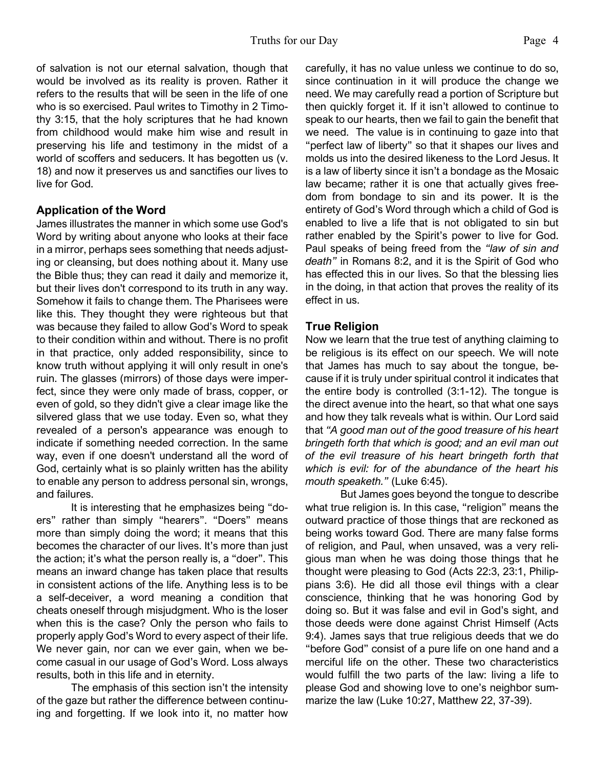of salvation is not our eternal salvation, though that would be involved as its reality is proven. Rather it refers to the results that will be seen in the life of one who is so exercised. Paul writes to Timothy in 2 Timothy 3:15, that the holy scriptures that he had known from childhood would make him wise and result in preserving his life and testimony in the midst of a world of scoffers and seducers. It has begotten us (v. 18) and now it preserves us and sanctifies our lives to live for God.

# **Application of the Word**

James illustrates the manner in which some use God's Word by writing about anyone who looks at their face in a mirror, perhaps sees something that needs adjusting or cleansing, but does nothing about it. Many use the Bible thus; they can read it daily and memorize it, but their lives don't correspond to its truth in any way. Somehow it fails to change them. The Pharisees were like this. They thought they were righteous but that was because they failed to allow God's Word to speak to their condition within and without. There is no profit in that practice, only added responsibility, since to know truth without applying it will only result in one's ruin. The glasses (mirrors) of those days were imperfect, since they were only made of brass, copper, or even of gold, so they didn't give a clear image like the silvered glass that we use today. Even so, what they revealed of a person's appearance was enough to indicate if something needed correction. In the same way, even if one doesn't understand all the word of God, certainly what is so plainly written has the ability to enable any person to address personal sin, wrongs, and failures.

 It is interesting that he emphasizes being "doers" rather than simply "hearers". "Doers" means more than simply doing the word; it means that this becomes the character of our lives. It's more than just the action; it's what the person really is, a "doer". This means an inward change has taken place that results in consistent actions of the life. Anything less is to be a self-deceiver, a word meaning a condition that cheats oneself through misjudgment. Who is the loser when this is the case? Only the person who fails to properly apply God's Word to every aspect of their life. We never gain, nor can we ever gain, when we become casual in our usage of God's Word. Loss always results, both in this life and in eternity.

 The emphasis of this section isn't the intensity of the gaze but rather the difference between continuing and forgetting. If we look into it, no matter how carefully, it has no value unless we continue to do so, since continuation in it will produce the change we need. We may carefully read a portion of Scripture but then quickly forget it. If it isn't allowed to continue to speak to our hearts, then we fail to gain the benefit that we need. The value is in continuing to gaze into that "perfect law of liberty" so that it shapes our lives and molds us into the desired likeness to the Lord Jesus. It is a law of liberty since it isn't a bondage as the Mosaic law became; rather it is one that actually gives freedom from bondage to sin and its power. It is the entirety of God's Word through which a child of God is enabled to live a life that is not obligated to sin but rather enabled by the Spirit's power to live for God. Paul speaks of being freed from the *"law of sin and death"* in Romans 8:2, and it is the Spirit of God who has effected this in our lives. So that the blessing lies in the doing, in that action that proves the reality of its effect in us.

# **True Religion**

Now we learn that the true test of anything claiming to be religious is its effect on our speech. We will note that James has much to say about the tongue, because if it is truly under spiritual control it indicates that the entire body is controlled (3:1-12). The tongue is the direct avenue into the heart, so that what one says and how they talk reveals what is within. Our Lord said that *"A good man out of the good treasure of his heart bringeth forth that which is good; and an evil man out of the evil treasure of his heart bringeth forth that which is evil: for of the abundance of the heart his mouth speaketh."* (Luke 6:45).

 But James goes beyond the tongue to describe what true religion is. In this case, "religion" means the outward practice of those things that are reckoned as being works toward God. There are many false forms of religion, and Paul, when unsaved, was a very religious man when he was doing those things that he thought were pleasing to God (Acts 22:3, 23:1, Philippians 3:6). He did all those evil things with a clear conscience, thinking that he was honoring God by doing so. But it was false and evil in God's sight, and those deeds were done against Christ Himself (Acts 9:4). James says that true religious deeds that we do "before God" consist of a pure life on one hand and a merciful life on the other. These two characteristics would fulfill the two parts of the law: living a life to please God and showing love to one's neighbor summarize the law (Luke 10:27, Matthew 22, 37-39).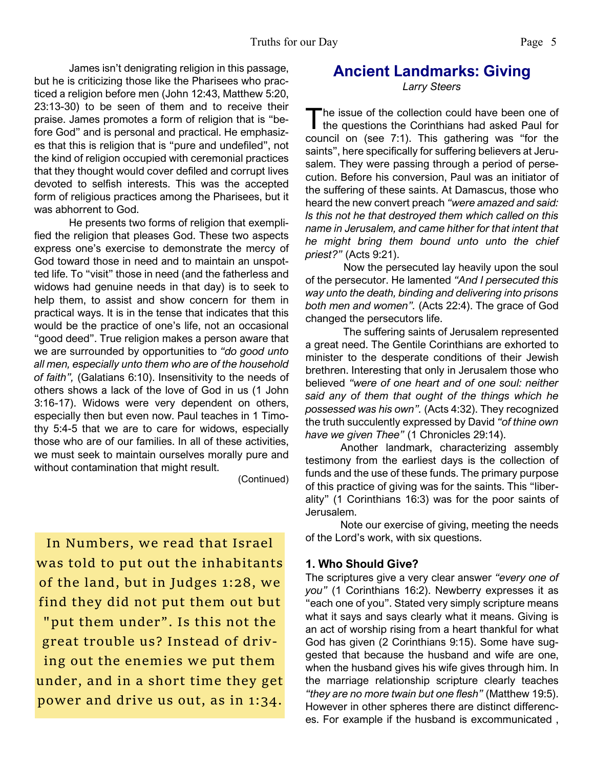James isn't denigrating religion in this passage, but he is criticizing those like the Pharisees who practiced a religion before men (John 12:43, Matthew 5:20, 23:13-30) to be seen of them and to receive their praise. James promotes a form of religion that is "before God" and is personal and practical. He emphasizes that this is religion that is "pure and undefiled", not the kind of religion occupied with ceremonial practices that they thought would cover defiled and corrupt lives devoted to selfish interests. This was the accepted form of religious practices among the Pharisees, but it was abhorrent to God.

 He presents two forms of religion that exemplified the religion that pleases God. These two aspects express one's exercise to demonstrate the mercy of God toward those in need and to maintain an unspotted life. To "visit" those in need (and the fatherless and widows had genuine needs in that day) is to seek to help them, to assist and show concern for them in practical ways. It is in the tense that indicates that this would be the practice of one's life, not an occasional "good deed". True religion makes a person aware that we are surrounded by opportunities to *"do good unto all men, especially unto them who are of the household of faith",* (Galatians 6:10). Insensitivity to the needs of others shows a lack of the love of God in us (1 John 3:16-17). Widows were very dependent on others, especially then but even now. Paul teaches in 1 Timothy 5:4-5 that we are to care for widows, especially those who are of our families. In all of these activities, we must seek to maintain ourselves morally pure and without contamination that might result.

(Continued)

In Numbers, we read that Israel was told to put out the inhabitants of the land, but in Judges 1:28, we find they did not put them out but "put them under". Is this not the great trouble us? Instead of driving out the enemies we put them under, and in a short time they get power and drive us out, as in 1:34.

# **Ancient Landmarks: Giving**

*Larry Steers*

The issue of the collection could have been one of<br>the questions the Corinthians had asked Paul for he issue of the collection could have been one of council on (see 7:1). This gathering was "for the saints", here specifically for suffering believers at Jerusalem. They were passing through a period of persecution. Before his conversion, Paul was an initiator of the suffering of these saints. At Damascus, those who heard the new convert preach *"were amazed and said: Is this not he that destroyed them which called on this name in Jerusalem, and came hither for that intent that he might bring them bound unto unto the chief priest?"* (Acts 9:21).

 Now the persecuted lay heavily upon the soul of the persecutor. He lamented *"And I persecuted this way unto the death, binding and delivering into prisons both men and women".* (Acts 22:4). The grace of God changed the persecutors life.

 The suffering saints of Jerusalem represented a great need. The Gentile Corinthians are exhorted to minister to the desperate conditions of their Jewish brethren. Interesting that only in Jerusalem those who believed *"were of one heart and of one soul: neither said any of them that ought of the things which he possessed was his own".* (Acts 4:32). They recognized the truth succulently expressed by David *"of thine own have we given Thee"* (1 Chronicles 29:14).

 Another landmark, characterizing assembly testimony from the earliest days is the collection of funds and the use of these funds. The primary purpose of this practice of giving was for the saints. This "liberality" (1 Corinthians 16:3) was for the poor saints of Jerusalem.

 Note our exercise of giving, meeting the needs of the Lord's work, with six questions.

# **1. Who Should Give?**

The scriptures give a very clear answer *"every one of you"* (1 Corinthians 16:2). Newberry expresses it as "each one of you". Stated very simply scripture means what it says and says clearly what it means. Giving is an act of worship rising from a heart thankful for what God has given (2 Corinthians 9:15). Some have suggested that because the husband and wife are one, when the husband gives his wife gives through him. In the marriage relationship scripture clearly teaches *"they are no more twain but one flesh"* (Matthew 19:5). However in other spheres there are distinct differences. For example if the husband is excommunicated ,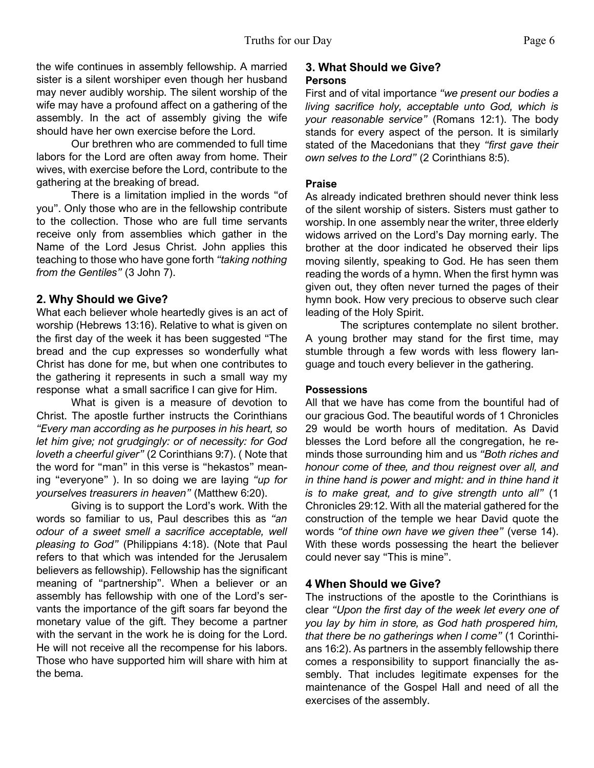the wife continues in assembly fellowship. A married sister is a silent worshiper even though her husband may never audibly worship. The silent worship of the wife may have a profound affect on a gathering of the assembly. In the act of assembly giving the wife should have her own exercise before the Lord.

 Our brethren who are commended to full time labors for the Lord are often away from home. Their wives, with exercise before the Lord, contribute to the gathering at the breaking of bread.

 There is a limitation implied in the words "of you". Only those who are in the fellowship contribute to the collection. Those who are full time servants receive only from assemblies which gather in the Name of the Lord Jesus Christ. John applies this teaching to those who have gone forth *"taking nothing from the Gentiles"* (3 John 7).

#### **2. Why Should we Give?**

What each believer whole heartedly gives is an act of worship (Hebrews 13:16). Relative to what is given on the first day of the week it has been suggested "The bread and the cup expresses so wonderfully what Christ has done for me, but when one contributes to the gathering it represents in such a small way my response what a small sacrifice I can give for Him.

 What is given is a measure of devotion to Christ. The apostle further instructs the Corinthians *"Every man according as he purposes in his heart, so let him give; not grudgingly: or of necessity: for God loveth a cheerful giver"* (2 Corinthians 9:7). ( Note that the word for "man" in this verse is "hekastos" meaning "everyone" ). In so doing we are laying *"up for yourselves treasurers in heaven"* (Matthew 6:20).

 Giving is to support the Lord's work. With the words so familiar to us, Paul describes this as *"an odour of a sweet smell a sacrifice acceptable, well pleasing to God"* (Philippians 4:18). (Note that Paul refers to that which was intended for the Jerusalem believers as fellowship). Fellowship has the significant meaning of "partnership". When a believer or an assembly has fellowship with one of the Lord's servants the importance of the gift soars far beyond the monetary value of the gift. They become a partner with the servant in the work he is doing for the Lord. He will not receive all the recompense for his labors. Those who have supported him will share with him at the bema.

### **3. What Should we Give? Persons**

First and of vital importance *"we present our bodies a living sacrifice holy, acceptable unto God, which is your reasonable service"* (Romans 12:1). The body stands for every aspect of the person. It is similarly stated of the Macedonians that they *"first gave their own selves to the Lord"* (2 Corinthians 8:5).

#### **Praise**

As already indicated brethren should never think less of the silent worship of sisters. Sisters must gather to worship. In one assembly near the writer, three elderly widows arrived on the Lord's Day morning early. The brother at the door indicated he observed their lips moving silently, speaking to God. He has seen them reading the words of a hymn. When the first hymn was given out, they often never turned the pages of their hymn book. How very precious to observe such clear leading of the Holy Spirit.

 The scriptures contemplate no silent brother. A young brother may stand for the first time, may stumble through a few words with less flowery language and touch every believer in the gathering.

#### **Possessions**

All that we have has come from the bountiful had of our gracious God. The beautiful words of 1 Chronicles 29 would be worth hours of meditation. As David blesses the Lord before all the congregation, he reminds those surrounding him and us *"Both riches and honour come of thee, and thou reignest over all, and in thine hand is power and might: and in thine hand it is to make great, and to give strength unto all"* (1 Chronicles 29:12. With all the material gathered for the construction of the temple we hear David quote the words *"of thine own have we given thee"* (verse 14). With these words possessing the heart the believer could never say "This is mine".

# **4 When Should we Give?**

The instructions of the apostle to the Corinthians is clear *"Upon the first day of the week let every one of you lay by him in store, as God hath prospered him, that there be no gatherings when I come"* (1 Corinthians 16:2). As partners in the assembly fellowship there comes a responsibility to support financially the assembly. That includes legitimate expenses for the maintenance of the Gospel Hall and need of all the exercises of the assembly.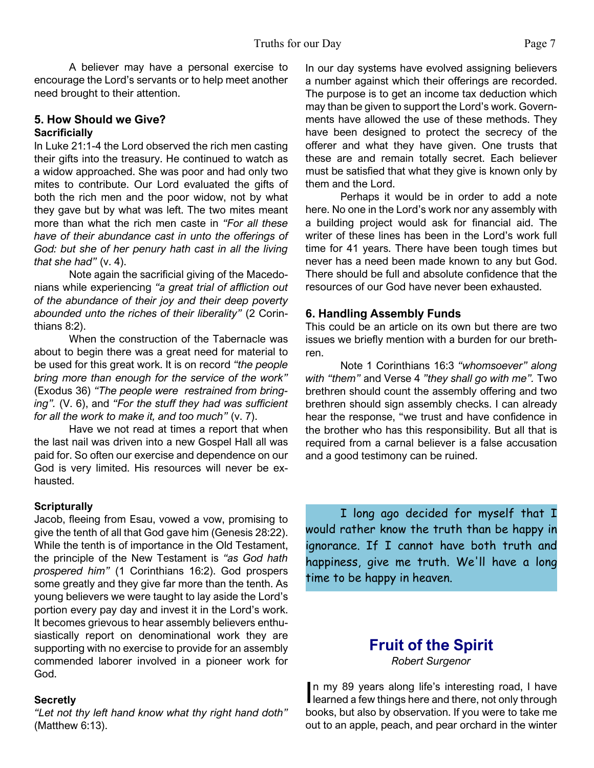A believer may have a personal exercise to encourage the Lord's servants or to help meet another need brought to their attention.

#### **5. How Should we Give? Sacrificially**

In Luke 21:1-4 the Lord observed the rich men casting their gifts into the treasury. He continued to watch as a widow approached. She was poor and had only two mites to contribute. Our Lord evaluated the gifts of both the rich men and the poor widow, not by what they gave but by what was left. The two mites meant more than what the rich men caste in *"For all these have of their abundance cast in unto the offerings of God: but she of her penury hath cast in all the living that she had"* (v. 4).

 Note again the sacrificial giving of the Macedonians while experiencing *"a great trial of affliction out of the abundance of their joy and their deep poverty abounded unto the riches of their liberality"* (2 Corinthians 8:2).

 When the construction of the Tabernacle was about to begin there was a great need for material to be used for this great work. It is on record *"the people bring more than enough for the service of the work"* (Exodus 36) *"The people were restrained from bringing".* (V. 6), and *"For the stuff they had was sufficient for all the work to make it, and too much"* (v. 7).

 Have we not read at times a report that when the last nail was driven into a new Gospel Hall all was paid for. So often our exercise and dependence on our God is very limited. His resources will never be exhausted.

# **Scripturally**

Jacob, fleeing from Esau, vowed a vow, promising to give the tenth of all that God gave him (Genesis 28:22). While the tenth is of importance in the Old Testament, the principle of the New Testament is *"as God hath prospered him"* (1 Corinthians 16:2). God prospers some greatly and they give far more than the tenth. As young believers we were taught to lay aside the Lord's portion every pay day and invest it in the Lord's work. It becomes grievous to hear assembly believers enthusiastically report on denominational work they are supporting with no exercise to provide for an assembly commended laborer involved in a pioneer work for God.

# **Secretly**

*"Let not thy left hand know what thy right hand doth"* (Matthew 6:13).

In our day systems have evolved assigning believers a number against which their offerings are recorded. The purpose is to get an income tax deduction which may than be given to support the Lord's work. Governments have allowed the use of these methods. They have been designed to protect the secrecy of the offerer and what they have given. One trusts that these are and remain totally secret. Each believer must be satisfied that what they give is known only by them and the Lord.

 Perhaps it would be in order to add a note here. No one in the Lord's work nor any assembly with a building project would ask for financial aid. The writer of these lines has been in the Lord's work full time for 41 years. There have been tough times but never has a need been made known to any but God. There should be full and absolute confidence that the resources of our God have never been exhausted.

# **6. Handling Assembly Funds**

This could be an article on its own but there are two issues we briefly mention with a burden for our brethren.

 Note 1 Corinthians 16:3 *"whomsoever" along with "them"* and Verse 4 *"they shall go with me".* Two brethren should count the assembly offering and two brethren should sign assembly checks. I can already hear the response, "we trust and have confidence in the brother who has this responsibility. But all that is required from a carnal believer is a false accusation and a good testimony can be ruined.

I long ago decided for myself that I would rather know the truth than be happy in ignorance. If I cannot have both truth and happiness, give me truth. We'll have a long time to be happy in heaven.

# **Fruit of the Spirit**

*Robert Surgenor*

In my 89 years along life's interesting road, I have<br>learned a few things here and there, not only through n my 89 years along life's interesting road, I have books, but also by observation. If you were to take me out to an apple, peach, and pear orchard in the winter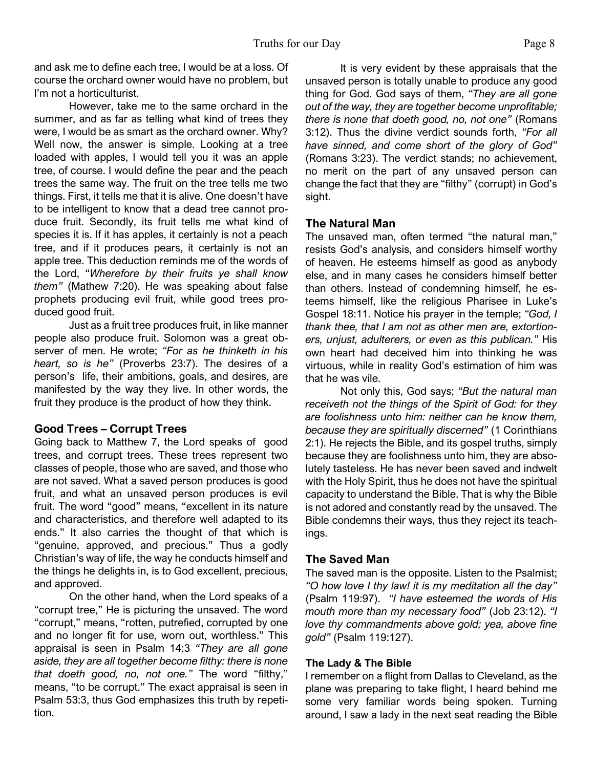and ask me to define each tree, I would be at a loss. Of course the orchard owner would have no problem, but I'm not a horticulturist.

 However, take me to the same orchard in the summer, and as far as telling what kind of trees they were, I would be as smart as the orchard owner. Why? Well now, the answer is simple. Looking at a tree loaded with apples, I would tell you it was an apple tree, of course. I would define the pear and the peach trees the same way. The fruit on the tree tells me two things. First, it tells me that it is alive. One doesn't have to be intelligent to know that a dead tree cannot produce fruit. Secondly, its fruit tells me what kind of species it is. If it has apples, it certainly is not a peach tree, and if it produces pears, it certainly is not an apple tree. This deduction reminds me of the words of the Lord, "*Wherefore by their fruits ye shall know them"* (Mathew 7:20). He was speaking about false prophets producing evil fruit, while good trees produced good fruit.

 Just as a fruit tree produces fruit, in like manner people also produce fruit. Solomon was a great observer of men. He wrote; *"For as he thinketh in his heart, so is he"* (Proverbs 23:7). The desires of a person's life, their ambitions, goals, and desires, are manifested by the way they live. In other words, the fruit they produce is the product of how they think.

# **Good Trees – Corrupt Trees**

Going back to Matthew 7, the Lord speaks of good trees, and corrupt trees. These trees represent two classes of people, those who are saved, and those who are not saved. What a saved person produces is good fruit, and what an unsaved person produces is evil fruit. The word "good" means, "excellent in its nature and characteristics, and therefore well adapted to its ends." It also carries the thought of that which is "genuine, approved, and precious." Thus a godly Christian's way of life, the way he conducts himself and the things he delights in, is to God excellent, precious, and approved.

On the other hand, when the Lord speaks of a "corrupt tree," He is picturing the unsaved. The word "corrupt," means, "rotten, putrefied, corrupted by one and no longer fit for use, worn out, worthless." This appraisal is seen in Psalm 14:3 *"They are all gone aside, they are all together become filthy: there is none that doeth good, no, not one."* The word "filthy," means, "to be corrupt." The exact appraisal is seen in Psalm 53:3, thus God emphasizes this truth by repetition.

 It is very evident by these appraisals that the unsaved person is totally unable to produce any good thing for God. God says of them, *"They are all gone out of the way, they are together become unprofitable; there is none that doeth good, no, not one"* (Romans 3:12). Thus the divine verdict sounds forth, *"For all have sinned, and come short of the glory of God"* (Romans 3:23). The verdict stands; no achievement, no merit on the part of any unsaved person can change the fact that they are "filthy" (corrupt) in God's sight.

# **The Natural Man**

The unsaved man, often termed "the natural man," resists God's analysis, and considers himself worthy of heaven. He esteems himself as good as anybody else, and in many cases he considers himself better than others. Instead of condemning himself, he esteems himself, like the religious Pharisee in Luke's Gospel 18:11. Notice his prayer in the temple; *"God, I thank thee, that I am not as other men are, extortioners, unjust, adulterers, or even as this publican."* His own heart had deceived him into thinking he was virtuous, while in reality God's estimation of him was that he was vile.

 Not only this, God says; *"But the natural man receiveth not the things of the Spirit of God: for they are foolishness unto him: neither can he know them, because they are spiritually discerned"* (1 Corinthians 2:1). He rejects the Bible, and its gospel truths, simply because they are foolishness unto him, they are absolutely tasteless. He has never been saved and indwelt with the Holy Spirit, thus he does not have the spiritual capacity to understand the Bible. That is why the Bible is not adored and constantly read by the unsaved. The Bible condemns their ways, thus they reject its teachings.

# **The Saved Man**

The saved man is the opposite. Listen to the Psalmist; *"O how love I thy law! it is my meditation all the day"* (Psalm 119:97). *"I have esteemed the words of His mouth more than my necessary food"* (Job 23:12). *"I love thy commandments above gold; yea, above fine gold"* (Psalm 119:127).

# **The Lady & The Bible**

I remember on a flight from Dallas to Cleveland, as the plane was preparing to take flight, I heard behind me some very familiar words being spoken. Turning around, I saw a lady in the next seat reading the Bible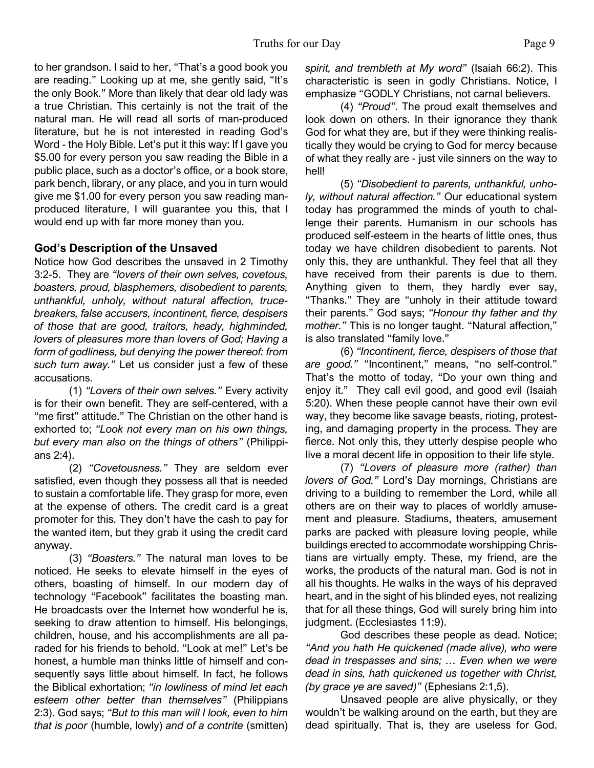to her grandson. I said to her, "That's a good book you are reading." Looking up at me, she gently said, "It's the only Book." More than likely that dear old lady was a true Christian. This certainly is not the trait of the natural man. He will read all sorts of man-produced literature, but he is not interested in reading God's Word - the Holy Bible. Let's put it this way: If I gave you \$5.00 for every person you saw reading the Bible in a public place, such as a doctor's office, or a book store, park bench, library, or any place, and you in turn would give me \$1.00 for every person you saw reading manproduced literature, I will guarantee you this, that I would end up with far more money than you.

# **God's Description of the Unsaved**

Notice how God describes the unsaved in 2 Timothy 3:2-5. They are *"lovers of their own selves, covetous, boasters, proud, blasphemers, disobedient to parents, unthankful, unholy, without natural affection, trucebreakers, false accusers, incontinent, fierce, despisers of those that are good, traitors, heady, highminded, lovers of pleasures more than lovers of God; Having a form of godliness, but denying the power thereof: from such turn away."* Let us consider just a few of these accusations.

 (1) *"Lovers of their own selves."* Every activity is for their own benefit. They are self-centered, with a "me first" attitude." The Christian on the other hand is exhorted to; *"Look not every man on his own things, but every man also on the things of others"* (Philippians 2:4).

 (2) *"Covetousness."* They are seldom ever satisfied, even though they possess all that is needed to sustain a comfortable life. They grasp for more, even at the expense of others. The credit card is a great promoter for this. They don't have the cash to pay for the wanted item, but they grab it using the credit card anyway.

 (3) *"Boasters."* The natural man loves to be noticed. He seeks to elevate himself in the eyes of others, boasting of himself. In our modern day of technology "Facebook" facilitates the boasting man. He broadcasts over the Internet how wonderful he is, seeking to draw attention to himself. His belongings, children, house, and his accomplishments are all paraded for his friends to behold. "Look at me!" Let's be honest, a humble man thinks little of himself and consequently says little about himself. In fact, he follows the Biblical exhortation; *"in lowliness of mind let each esteem other better than themselves"* (Philippians 2:3). God says; *"But to this man will I look, even to him that is poor* (humble, lowly) *and of a contrite* (smitten) *spirit, and trembleth at My word"* (Isaiah 66:2). This characteristic is seen in godly Christians. Notice, I emphasize "GODLY Christians, not carnal believers.

 (4) *"Proud"*. The proud exalt themselves and look down on others. In their ignorance they thank God for what they are, but if they were thinking realistically they would be crying to God for mercy because of what they really are - just vile sinners on the way to hell!

 (5) *"Disobedient to parents, unthankful, unholy, without natural affection."* Our educational system today has programmed the minds of youth to challenge their parents. Humanism in our schools has produced self-esteem in the hearts of little ones, thus today we have children disobedient to parents. Not only this, they are unthankful. They feel that all they have received from their parents is due to them. Anything given to them, they hardly ever say, "Thanks." They are "unholy in their attitude toward their parents." God says; *"Honour thy father and thy mother."* This is no longer taught. "Natural affection," is also translated "family love."

 (6) *"Incontinent, fierce, despisers of those that are good."* "Incontinent," means, "no self-control." That's the motto of today, "Do your own thing and enjoy it." They call evil good, and good evil (Isaiah 5:20). When these people cannot have their own evil way, they become like savage beasts, rioting, protesting, and damaging property in the process. They are fierce. Not only this, they utterly despise people who live a moral decent life in opposition to their life style.

 (7) *"Lovers of pleasure more (rather) than lovers of God."* Lord's Day mornings, Christians are driving to a building to remember the Lord, while all others are on their way to places of worldly amusement and pleasure. Stadiums, theaters, amusement parks are packed with pleasure loving people, while buildings erected to accommodate worshipping Christians are virtually empty. These, my friend, are the works, the products of the natural man. God is not in all his thoughts. He walks in the ways of his depraved heart, and in the sight of his blinded eyes, not realizing that for all these things, God will surely bring him into judgment. (Ecclesiastes 11:9).

God describes these people as dead. Notice; *"And you hath He quickened (made alive), who were dead in trespasses and sins; … Even when we were dead in sins, hath quickened us together with Christ, (by grace ye are saved)"* (Ephesians 2:1,5).

 Unsaved people are alive physically, or they wouldn't be walking around on the earth, but they are dead spiritually. That is, they are useless for God.